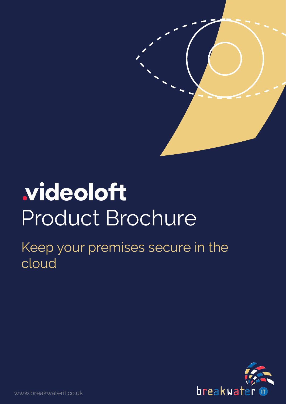### videoloft Product Brochure

Keep your premises secure in the cloud

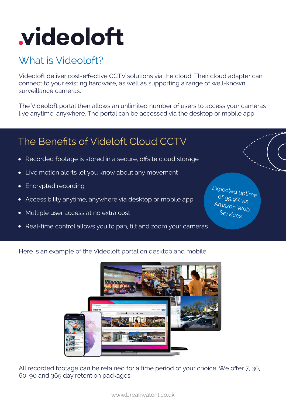# **videoloft**

#### What is Videoloft?

Videoloft deliver cost-effective CCTV solutions via the cloud. Their cloud adapter can connect to your existing hardware, as well as supporting a range of well-known surveillance cameras.

The Videoloft portal then allows an unlimited number of users to access your cameras live anytime, anywhere. The portal can be accessed via the desktop or mobile app.

#### The Benefits of Videloft Cloud CCTV

- Recorded footage is stored in a secure, offsite cloud storage •
- Live motion alerts let you know about any movement •
- Encrypted recording •
- Accessibility anytime, anywhere via desktop or mobile app •
- Multiple user access at no extra cost •
- Real-time control allows you to pan, tilt and zoom your cameras •

Expected uptime of 99.9% via Amazon Web Services

Here is an example of the Videoloft portal on desktop and mobile:



All recorded footage can be retained for a time period of your choice. We offer 7, 30, 60, 90 and 365 day retention packages.

www.breakwaterit.co.uk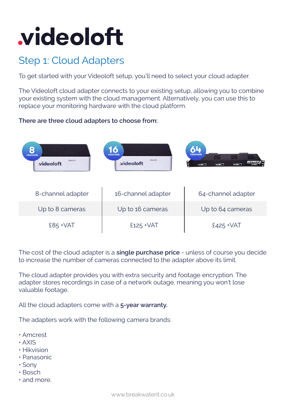## **videoloft**

#### Step 1: Cloud Adapters

To get started with your Videoloft setup, you'll need to select your cloud adapter.

The Videoloft cloud adapter connects to your existing setup, allowing you to combine your existing system with the cloud management. Alternatively, you can use this to replace your monitoring hardware with the cloud platform.

#### **There are three cloud adapters to choose from:**



The cost of the cloud adapter is a **single purchase price** - unless of course you decide to increase the number of cameras connected to the adapter above its limit.

The cloud adapter provides you with extra security and footage encryption. The adapter stores recordings in case of a network outage, meaning you won't lose valuable footage.

All the cloud adapters come with a **5-year warranty.** 

The adapters work with the following camera brands:

- Amcrest
- AXIS
- Hikvision
- Panasonic
- Sony
- Bosch
- and more.